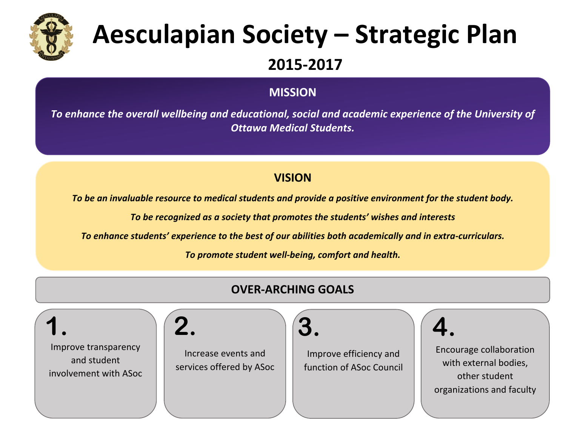

### **MISSION**

To enhance the overall wellbeing and educational, social and academic experience of the University of *Ottawa Medical Students.*

### **VISION**

To be an invaluable resource to medical students and provide a positive environment for the student body.

To be recognized as a society that promotes the students' wishes and interests

To enhance students' experience to the best of our abilities both academically and in extra-curriculars.

To promote student well-being, comfort and health.

### **OVER-ARCHING GOALS** Improve transparency and student involvement with ASoc. Increase events and services offered by ASoc Improve efficiency and function of ASoc Council Encourage collaboration with external bodies, other student organizations and faculty **1.**  $\big| \begin{pmatrix} 2. & \frac{1}{3} \end{pmatrix} \big| 3.$   $\big| \begin{pmatrix} 4. & \frac{1}{3} \end{pmatrix} \big| 4.$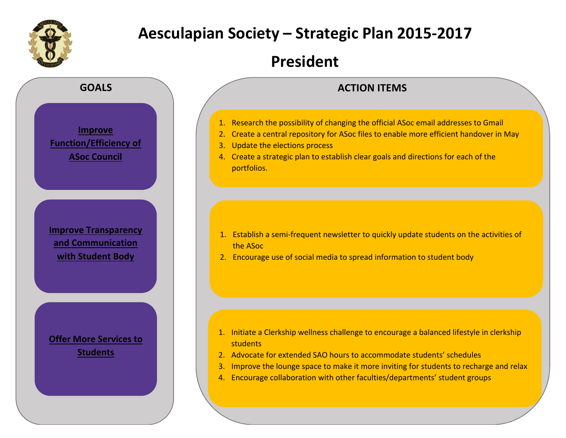

## **President**



### **ACTION ITEMS**

- 1. Research the possibility of changing the official ASoc email addresses to Gmail
- 2. Create a central repository for ASoc files to enable more efficient handover in May
- 3. Update the elections process
- 4. Create a strategic plan to establish clear goals and directions for each of the portfolios.

- 1. Establish a semi-frequent newsletter to quickly update students on the activities of the ASoc
- 2. Encourage use of social media to spread information to student body

- 1. Initiate a Clerkship wellness challenge to encourage a balanced lifestyle in clerkship students
- 2. Advocate for extended SAO hours to accommodate students' schedules
- 3. Improve the lounge space to make it more inviting for students to recharge and relax
- 4. Encourage collaboration with other faculties/departments' student groups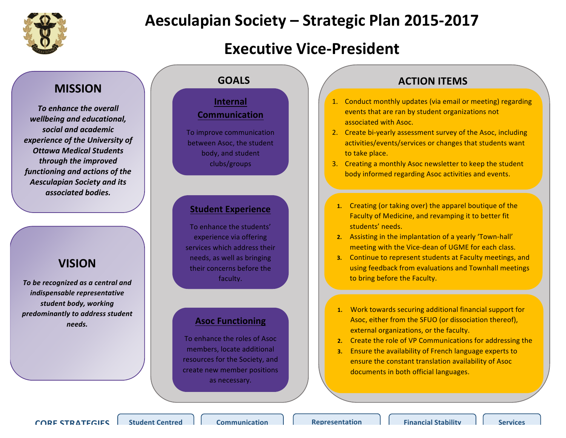

## **Executive Vice-President**

### **MISSION**

**To enhance the overall** *wellbeing and educational, social and academic experience of the University of Ottawa Medical Students through the improved*  functioning and actions of the *Aesculapian Society and its associated bodies.*

### **VISION**

To be recognized as a central and *indispensable representative* student **body**, working *predominantly to address student needs.* 

### **Internal Communication**

To improve communication between Asoc, the student body, and student clubs/groups 

#### **Student Experience**

To enhance the students' experience via offering services which address their needs, as well as bringing their concerns before the faculty. 

### **Asoc Functioning**

To enhance the roles of Asoc members, locate additional resources for the Society, and create new member positions as necessary.

### **GOALS ACTION ITEMS**

- 1. Conduct monthly updates (via email or meeting) regarding events that are ran by student organizations not associated with Asoc.
- 2. Create bi-yearly assessment survey of the Asoc, including activities/events/services or changes that students want to take place.
- 3. Creating a monthly Asoc newsletter to keep the student body informed regarding Asoc activities and events.
- **1.** Creating (or taking over) the apparel boutique of the Faculty of Medicine, and revamping it to better fit students' needs.
- **2.** Assisting in the implantation of a yearly 'Town-hall' meeting with the Vice-dean of UGME for each class.
- **3.** Continue to represent students at Faculty meetings, and using feedback from evaluations and Townhall meetings to bring before the Faculty.
- 1. Work towards securing additional financial support for Asoc, either from the SFUO (or dissociation thereof), external organizations, or the faculty.
- **2.** Create the role of VP Communications for addressing the
- **3.** Ensure the availability of French language experts to ensure the constant translation availability of Asoc documents in both official languages.

**CORE STRATEGIES Student Centred A Communication A Representation A Financial Stability A** Services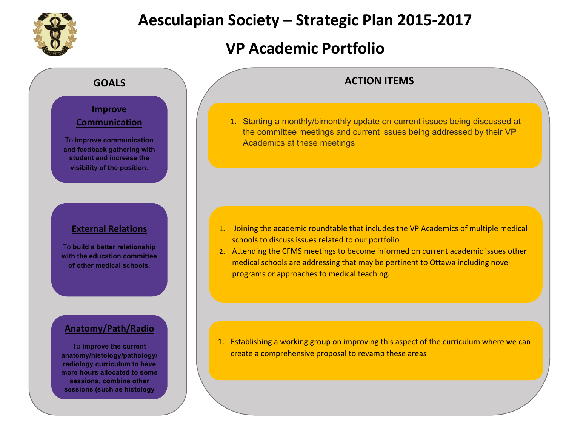

## **VP Academic Portfolio**

### **GOALS**

### **Improve**

### **Communication**

To **improve communication and feedback gathering with student and increase the visibility of the position**.

### **External Relations**

To **build a better relationship with the education committee of other medical schools**.

### **Anatomy/Path/Radio**

To **improve the current anatomy/histology/pathology/ radiology curriculum to have more hours allocated to some sessions, combine other sessions (such as histology** 

**and pathology) and have** 

## **ACTION ITEMS**

1. Starting a monthly/bimonthly update on current issues being discussed at the committee meetings and current issues being addressed by their VP Academics at these meetings

- 1. Joining the academic roundtable that includes the VP Academics of multiple medical schools to discuss issues related to our portfolio
- 2. Attending the CFMS meetings to become informed on current academic issues other medical schools are addressing that may be pertinent to Ottawa including novel programs or approaches to medical teaching.

1. Establishing a working group on improving this aspect of the curriculum where we can create a comprehensive proposal to revamp these areas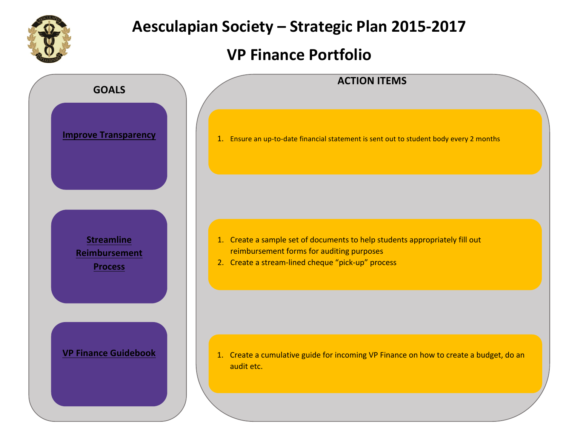

## **VP Finance Portfolio**

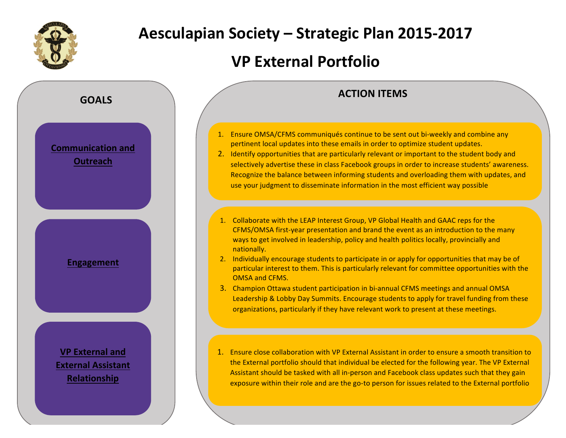

## **VP External Portfolio**

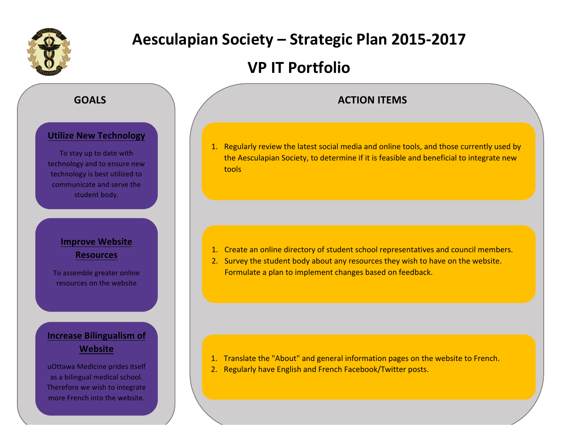

## **VP IT Portfolio**

### **ACTION ITEMS**

1. Regularly review the latest social media and online tools, and those currently used by the Aesculapian Society, to determine if it is feasible and beneficial to integrate new tools

- 1. Create an online directory of student school representatives and council members.
- 2. Survey the student body about any resources they wish to have on the website. Formulate a plan to implement changes based on feedback.

- 1. Translate the "About" and general information pages on the website to French.
- 2. Regularly have English and French Facebook/Twitter posts.

### **GOALS**

### **Utilize New Technology**

To stay up to date with technology and to ensure new technology is best utilized to communicate and serve the student body.

### **Improve Website Resources**

To assemble greater online resources on the website

### **Increase Bilingualism of Website**

uOttawa Medicine prides itself as a bilingual medical school. Therefore we wish to integrate more French into the website.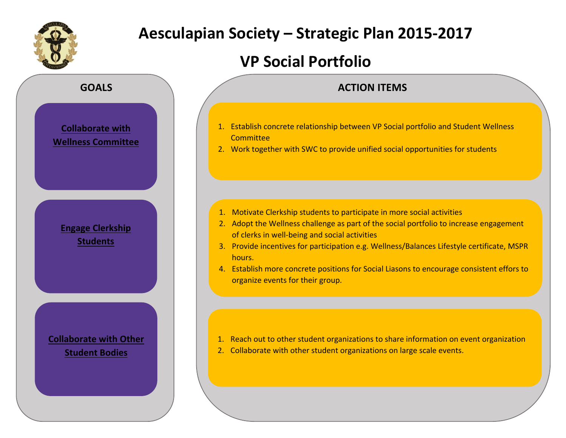

## **VP Social Portfolio**

# **GOALS Collaborate with Wellness Committee Engage Clerkship Students Collaborate with Other Student Bodies**

### **ACTION ITEMS**

- 1. Establish concrete relationship between VP Social portfolio and Student Wellness **Committee**
- 2. Work together with SWC to provide unified social opportunities for students

- 1. Motivate Clerkship students to participate in more social activities
- 2. Adopt the Wellness challenge as part of the social portfolio to increase engagement of clerks in well-being and social activities
- 3. Provide incentives for participation e.g. Wellness/Balances Lifestyle certificate, MSPR hours.
- 4. Establish more concrete positions for Social Liasons to encourage consistent effors to organize events for their group.

- 1. Reach out to other student organizations to share information on event organization
- 2. Collaborate with other student organizations on large scale events.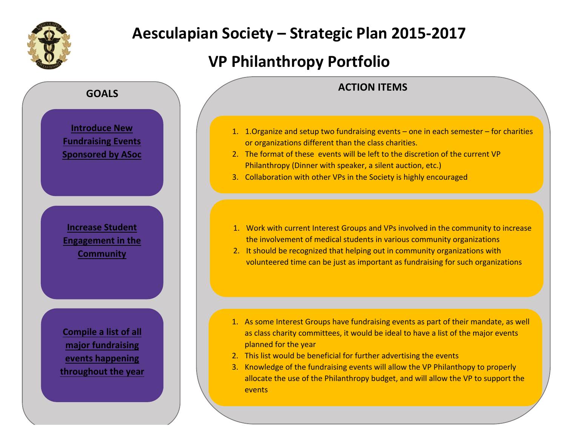

## **VP Philanthropy Portfolio**



**throughout the year**

### **ACTION ITEMS**

- 1. 1. Organize and setup two fundraising events  $-$  one in each semester  $-$  for charities or organizations different than the class charities.
- 2. The format of these events will be left to the discretion of the current VP Philanthropy (Dinner with speaker, a silent auction, etc.)
- 3. Collaboration with other VPs in the Society is highly encouraged
- 1. Work with current Interest Groups and VPs involved in the community to increase the involvement of medical students in various community organizations
- 2. It should be recognized that helping out in community organizations with volunteered time can be just as important as fundraising for such organizations

- 1. As some Interest Groups have fundraising events as part of their mandate, as well as class charity committees, it would be ideal to have a list of the major events planned for the year
- 2. This list would be beneficial for further advertising the events
- 3. Knowledge of the fundraising events will allow the VP Philanthopy to properly allocate the use of the Philanthropy budget, and will allow the VP to support the events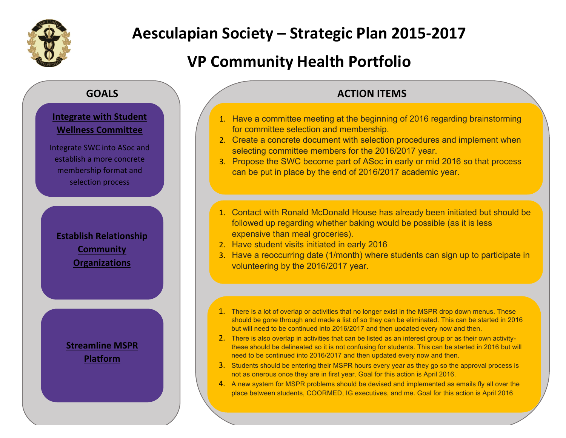

## **VP Community Health Portfolio**

### **GOALS**

### **Integrate with Student Wellness Committee**

Integrate SWC into ASoc and establish a more concrete membership format and selection process

**Establish Relationship Community Organizations**

### **Streamline MSPR Platform**

### **ACTION ITEMS**

- 1. Have a committee meeting at the beginning of 2016 regarding brainstorming for committee selection and membership.
- 2. Create a concrete document with selection procedures and implement when selecting committee members for the 2016/2017 year.
- 3. Propose the SWC become part of ASoc in early or mid 2016 so that process can be put in place by the end of 2016/2017 academic year.
- 1. Contact with Ronald McDonald House has already been initiated but should be followed up regarding whether baking would be possible (as it is less expensive than meal groceries).
- 2. Have student visits initiated in early 2016
- 3. Have a reoccurring date (1/month) where students can sign up to participate in volunteering by the 2016/2017 year.
- 1. There is a lot of overlap or activities that no longer exist in the MSPR drop down menus. These should be gone through and made a list of so they can be eliminated. This can be started in 2016 but will need to be continued into 2016/2017 and then updated every now and then.
- 2. There is also overlap in activities that can be listed as an interest group or as their own activitythese should be delineated so it is not confusing for students. This can be started in 2016 but will need to be continued into 2016/2017 and then updated every now and then.
- 3. Students should be entering their MSPR hours every year as they go so the approval process is not as onerous once they are in first year. Goal for this action is April 2016.
- 4. A new system for MSPR problems should be devised and implemented as emails fly all over the place between students, COORMED, IG executives, and me. Goal for this action is April 2016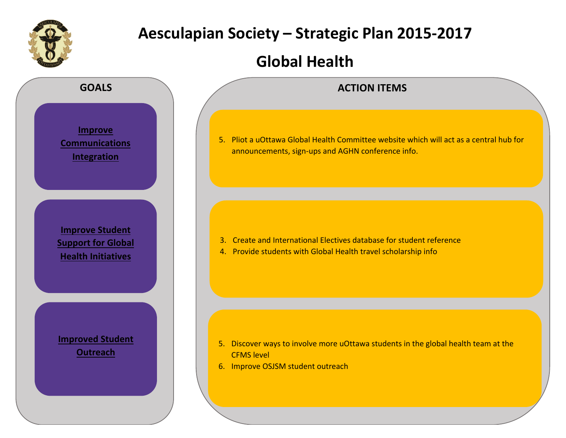

## **Global Health**

announcements, sign-ups and AGHN conference info.

3. Create and International Electives database for student reference

5. Discover ways to involve more uOttawa students in the global health team at the

4. Provide students with Global Health travel scholarship info

**CFMS** level

6. Improve OSJSM student outreach

5. Pliot a uOttawa Global Health Committee website which will act as a central hub for

**ACTION ITEMS**